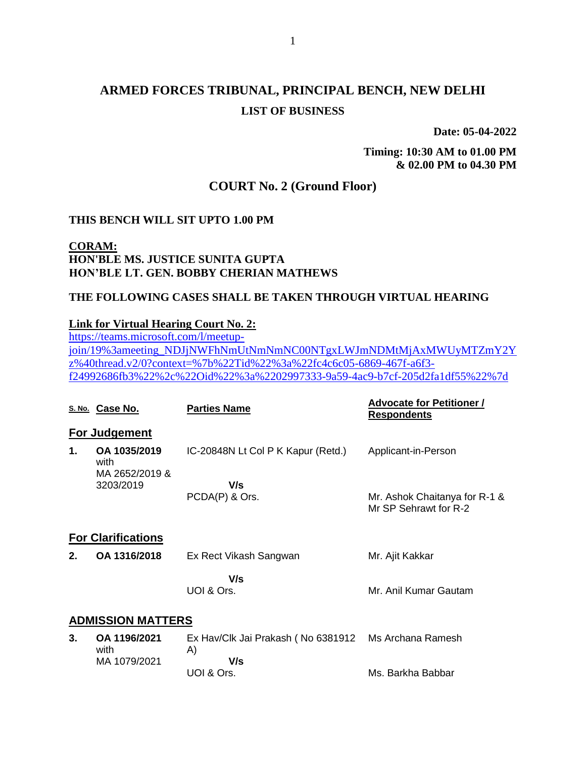# **ARMED FORCES TRIBUNAL, PRINCIPAL BENCH, NEW DELHI LIST OF BUSINESS**

**Date: 05-04-2022**

**Timing: 10:30 AM to 01.00 PM & 02.00 PM to 04.30 PM**

## **COURT No. 2 (Ground Floor)**

#### **THIS BENCH WILL SIT UPTO 1.00 PM**

#### **CORAM: HON'BLE MS. JUSTICE SUNITA GUPTA HON'BLE LT. GEN. BOBBY CHERIAN MATHEWS**

#### **THE FOLLOWING CASES SHALL BE TAKEN THROUGH VIRTUAL HEARING**

#### **Link for Virtual Hearing Court No. 2:**

[https://teams.microsoft.com/l/meetup](https://teams.microsoft.com/l/meetup-join/19%3ameeting_NDJjNWFhNmUtNmNmNC00NTgxLWJmNDMtMjAxMWUyMTZmY2Yz%40thread.v2/0?context=%7b%22Tid%22%3a%22fc4c6c05-6869-467f-a6f3-f24992686fb3%22%2c%22Oid%22%3a%2202997333-9a59-4ac9-b7cf-205d2fa1df55%22%7d)[join/19%3ameeting\\_NDJjNWFhNmUtNmNmNC00NTgxLWJmNDMtMjAxMWUyMTZmY2Y](https://teams.microsoft.com/l/meetup-join/19%3ameeting_NDJjNWFhNmUtNmNmNC00NTgxLWJmNDMtMjAxMWUyMTZmY2Yz%40thread.v2/0?context=%7b%22Tid%22%3a%22fc4c6c05-6869-467f-a6f3-f24992686fb3%22%2c%22Oid%22%3a%2202997333-9a59-4ac9-b7cf-205d2fa1df55%22%7d) [z%40thread.v2/0?context=%7b%22Tid%22%3a%22fc4c6c05-6869-467f-a6f3](https://teams.microsoft.com/l/meetup-join/19%3ameeting_NDJjNWFhNmUtNmNmNC00NTgxLWJmNDMtMjAxMWUyMTZmY2Yz%40thread.v2/0?context=%7b%22Tid%22%3a%22fc4c6c05-6869-467f-a6f3-f24992686fb3%22%2c%22Oid%22%3a%2202997333-9a59-4ac9-b7cf-205d2fa1df55%22%7d) [f24992686fb3%22%2c%22Oid%22%3a%2202997333-9a59-4ac9-b7cf-205d2fa1df55%22%7d](https://teams.microsoft.com/l/meetup-join/19%3ameeting_NDJjNWFhNmUtNmNmNC00NTgxLWJmNDMtMjAxMWUyMTZmY2Yz%40thread.v2/0?context=%7b%22Tid%22%3a%22fc4c6c05-6869-467f-a6f3-f24992686fb3%22%2c%22Oid%22%3a%2202997333-9a59-4ac9-b7cf-205d2fa1df55%22%7d)

|    | S. No. Case No.                        | <b>Parties Name</b>                      | <b>Advocate for Petitioner /</b><br><u>Respondents</u> |  |  |
|----|----------------------------------------|------------------------------------------|--------------------------------------------------------|--|--|
|    | For Judgement                          |                                          |                                                        |  |  |
| 1. | OA 1035/2019<br>with<br>MA 2652/2019 & | IC-20848N Lt Col P K Kapur (Retd.)       | Applicant-in-Person                                    |  |  |
|    | 3203/2019                              | V/s                                      |                                                        |  |  |
|    |                                        | PCDA(P) & Ors.                           | Mr. Ashok Chaitanya for R-1 &<br>Mr SP Sehrawt for R-2 |  |  |
|    | <b>For Clarifications</b>              |                                          |                                                        |  |  |
| 2. | OA 1316/2018                           | Ex Rect Vikash Sangwan                   | Mr. Ajit Kakkar                                        |  |  |
|    |                                        | V/s                                      |                                                        |  |  |
|    |                                        | UOI & Ors.                               | Mr. Anil Kumar Gautam                                  |  |  |
|    | <b>ADMISSION MATTERS</b>               |                                          |                                                        |  |  |
| 3. | OA 1196/2021<br>with                   | Ex Hav/Clk Jai Prakash (No 6381912<br>A) | Ms Archana Ramesh                                      |  |  |
|    | MA 1079/2021                           | V/s                                      |                                                        |  |  |
|    |                                        | UOI & Ors.                               | Ms. Barkha Babbar                                      |  |  |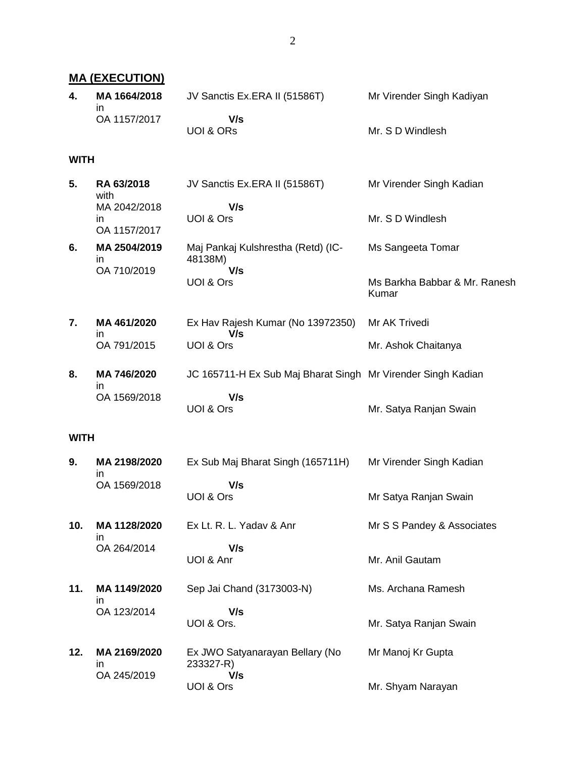**MA (EXECUTION) 4. MA 1664/2018** in OA 1157/2017 JV Sanctis Ex.ERA II (51586T)  **V/s** UOI & ORs Mr Virender Singh Kadiyan Mr. S D Windlesh **WITH 5. RA 63/2018** with MA 2042/2018 in OA 1157/2017 JV Sanctis Ex.ERA II (51586T)  **V/s** UOI & Ors Mr Virender Singh Kadian Mr. S D Windlesh **6. MA 2504/2019** in OA 710/2019 Maj Pankaj Kulshrestha (Retd) (IC-48138M)  **V/s** UOI & Ors Ms Sangeeta Tomar Ms Barkha Babbar & Mr. Ranesh Kumar **7. MA 461/2020** in OA 791/2015 Ex Hav Rajesh Kumar (No 13972350)  **V/s** UOI & Ors Mr AK Trivedi Mr. Ashok Chaitanya **8. MA 746/2020** in OA 1569/2018 JC 165711-H Ex Sub Maj Bharat Singh Mr Virender Singh Kadian  **V/s** UOI & Ors Mr. Satya Ranjan Swain **WITH 9. MA 2198/2020** in OA 1569/2018 Ex Sub Maj Bharat Singh (165711H)  **V/s** UOI & Ors Mr Virender Singh Kadian Mr Satya Ranjan Swain **10. MA 1128/2020** in OA 264/2014 Ex Lt. R. L. Yadav & Anr  **V/s** UOI & Anr Mr S S Pandey & Associates Mr. Anil Gautam **11. MA 1149/2020** in OA 123/2014 Sep Jai Chand (3173003-N)  **V/s** UOI & Ors. Ms. Archana Ramesh Mr. Satya Ranjan Swain **12. MA 2169/2020** in OA 245/2019 Ex JWO Satyanarayan Bellary (No 233327-R)  **V/s** UOI & Ors Mr Manoj Kr Gupta Mr. Shyam Narayan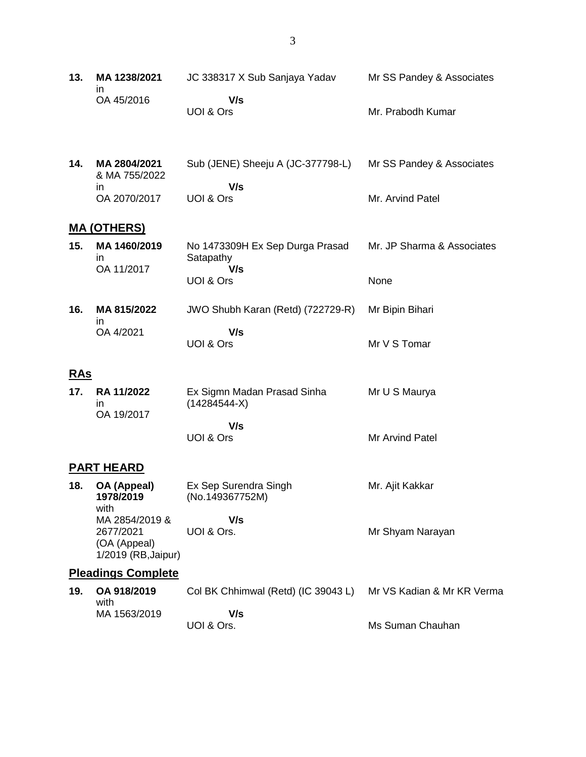| 13. | MA 1238/2021 | JC 338317 X Sub Sanjaya Yadav | Mr SS Pandey & Associates |
|-----|--------------|-------------------------------|---------------------------|
|     | OA 45/2016   | V/s                           |                           |
|     |              | UOI & Ors                     | Mr. Prabodh Kumar         |

| 14. | MA 2804/2021<br>& MA 755/2022 | Sub (JENE) Sheeju A (JC-377798-L) | Mr SS Pandey & Associates |
|-----|-------------------------------|-----------------------------------|---------------------------|
|     | ın                            | V/s                               |                           |
|     | OA 2070/2017                  | UOI & Ors                         | Mr. Arvind Patel          |

## **MA (OTHERS)**

| 15. | MA 1460/2019<br>ın | No 1473309H Ex Sep Durga Prasad<br>Satapathy | Mr. JP Sharma & Associates |
|-----|--------------------|----------------------------------------------|----------------------------|
|     | OA 11/2017         | V/s<br>UOI & Ors                             | None                       |
|     |                    |                                              |                            |

| 16. | MA 815/2022<br>ın | JWO Shubh Karan (Retd) (722729-R) | Mr Bipin Bihari |
|-----|-------------------|-----------------------------------|-----------------|
|     | OA 4/2021         | V/s                               |                 |
|     |                   | UOI & Ors                         | Mr V S Tomar    |

## **RAs**

| 17 <sub>1</sub> | RA 11/2022<br>ın<br>OA 19/2017 | Ex Sigmn Madan Prasad Sinha<br>$(14284544-X)$ | Mr U S Maurya   |
|-----------------|--------------------------------|-----------------------------------------------|-----------------|
|                 |                                | V/s<br>UOI & Ors                              | Mr Arvind Patel |

# **PART HEARD**

| 18. | OA (Appeal)<br>1978/2019<br>with | Ex Sep Surendra Singh<br>(No.149367752M) | Mr. Ajit Kakkar  |
|-----|----------------------------------|------------------------------------------|------------------|
|     | MA 2854/2019 &                   | V/s                                      |                  |
|     | 2677/2021<br>(OA (Appeal)        | UOI & Ors.                               | Mr Shyam Narayan |

## **Pleadings Complete**

1/2019 (RB,Jaipur)

| 19. OA 918/2019<br>with | Col BK Chhimwal (Retd) (IC 39043 L) Mr VS Kadian & Mr KR Verma |                  |
|-------------------------|----------------------------------------------------------------|------------------|
| MA 1563/2019            | V/s<br>UOI & Ors.                                              | Ms Suman Chauhan |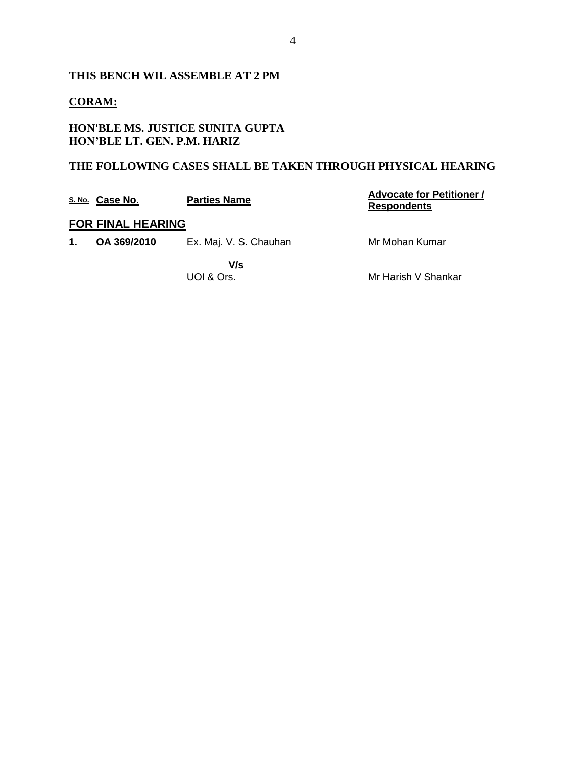## **THIS BENCH WIL ASSEMBLE AT 2 PM**

### **CORAM:**

### **HON'BLE MS. JUSTICE SUNITA GUPTA HON'BLE LT. GEN. P.M. HARIZ**

### **THE FOLLOWING CASES SHALL BE TAKEN THROUGH PHYSICAL HEARING**

|    | S. No. Case No.          | <b>Parties Name</b>    | <b>Advocate for Petitioner /</b><br><b>Respondents</b> |
|----|--------------------------|------------------------|--------------------------------------------------------|
|    | <b>FOR FINAL HEARING</b> |                        |                                                        |
| 1. | OA 369/2010              | Ex. Maj. V. S. Chauhan | Mr Mohan Kumar                                         |
|    |                          | V/s<br>UOI & Ors.      | Mr Harish V Shankar                                    |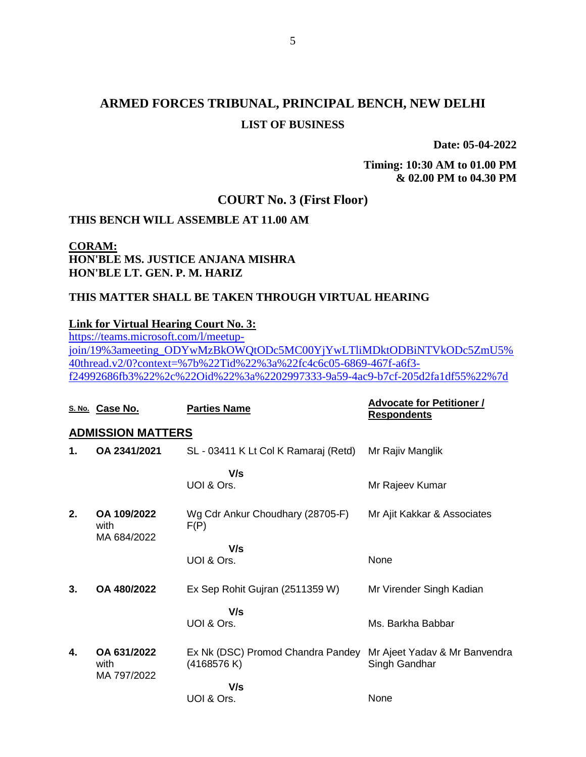# **ARMED FORCES TRIBUNAL, PRINCIPAL BENCH, NEW DELHI LIST OF BUSINESS**

**Date: 05-04-2022**

**Timing: 10:30 AM to 01.00 PM & 02.00 PM to 04.30 PM**

### **COURT No. 3 (First Floor)**

#### **THIS BENCH WILL ASSEMBLE AT 11.00 AM**

**CORAM: HON'BLE MS. JUSTICE ANJANA MISHRA HON'BLE LT. GEN. P. M. HARIZ**

#### **THIS MATTER SHALL BE TAKEN THROUGH VIRTUAL HEARING**

#### **Link for Virtual Hearing Court No. 3:**

[https://teams.microsoft.com/l/meetup](https://teams.microsoft.com/l/meetup-join/19%3ameeting_ODYwMzBkOWQtODc5MC00YjYwLTliMDktODBiNTVkODc5ZmU5%40thread.v2/0?context=%7b%22Tid%22%3a%22fc4c6c05-6869-467f-a6f3-f24992686fb3%22%2c%22Oid%22%3a%2202997333-9a59-4ac9-b7cf-205d2fa1df55%22%7d)[join/19%3ameeting\\_ODYwMzBkOWQtODc5MC00YjYwLTliMDktODBiNTVkODc5ZmU5%](https://teams.microsoft.com/l/meetup-join/19%3ameeting_ODYwMzBkOWQtODc5MC00YjYwLTliMDktODBiNTVkODc5ZmU5%40thread.v2/0?context=%7b%22Tid%22%3a%22fc4c6c05-6869-467f-a6f3-f24992686fb3%22%2c%22Oid%22%3a%2202997333-9a59-4ac9-b7cf-205d2fa1df55%22%7d) [40thread.v2/0?context=%7b%22Tid%22%3a%22fc4c6c05-6869-467f-a6f3](https://teams.microsoft.com/l/meetup-join/19%3ameeting_ODYwMzBkOWQtODc5MC00YjYwLTliMDktODBiNTVkODc5ZmU5%40thread.v2/0?context=%7b%22Tid%22%3a%22fc4c6c05-6869-467f-a6f3-f24992686fb3%22%2c%22Oid%22%3a%2202997333-9a59-4ac9-b7cf-205d2fa1df55%22%7d) [f24992686fb3%22%2c%22Oid%22%3a%2202997333-9a59-4ac9-b7cf-205d2fa1df55%22%7d](https://teams.microsoft.com/l/meetup-join/19%3ameeting_ODYwMzBkOWQtODc5MC00YjYwLTliMDktODBiNTVkODc5ZmU5%40thread.v2/0?context=%7b%22Tid%22%3a%22fc4c6c05-6869-467f-a6f3-f24992686fb3%22%2c%22Oid%22%3a%2202997333-9a59-4ac9-b7cf-205d2fa1df55%22%7d)

|    | S. No. Case No.                    | <b>Parties Name</b>                             | <b>Advocate for Petitioner /</b><br><b>Respondents</b> |
|----|------------------------------------|-------------------------------------------------|--------------------------------------------------------|
|    | <b>ADMISSION MATTERS</b>           |                                                 |                                                        |
| 1. | OA 2341/2021                       | SL - 03411 K Lt Col K Ramaraj (Retd)            | Mr Rajiv Manglik                                       |
|    |                                    | V/s<br>UOI & Ors.                               | Mr Rajeev Kumar                                        |
| 2. | OA 109/2022<br>with<br>MA 684/2022 | Wg Cdr Ankur Choudhary (28705-F)<br>F(P)        | Mr Ajit Kakkar & Associates                            |
|    |                                    | V/s<br>UOI & Ors.                               | None                                                   |
| 3. | OA 480/2022                        | Ex Sep Rohit Gujran (2511359 W)                 | Mr Virender Singh Kadian                               |
|    |                                    | V/s<br>UOI & Ors.                               | Ms. Barkha Babbar                                      |
| 4. | OA 631/2022<br>with                | Ex Nk (DSC) Promod Chandra Pandey<br>(4168576K) | Mr Ajeet Yadav & Mr Banvendra<br>Singh Gandhar         |
|    | MA 797/2022                        | V/s<br>UOI & Ors.                               | None                                                   |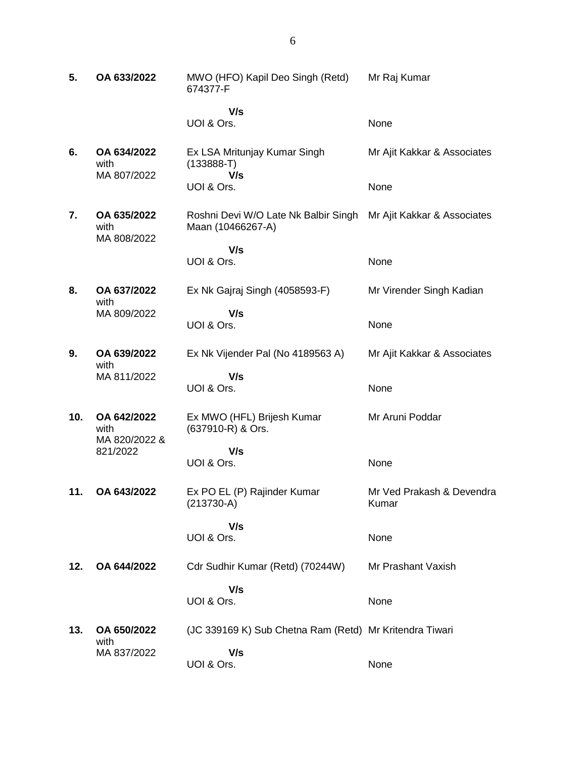| 5.  | OA 633/2022                          | MWO (HFO) Kapil Deo Singh (Retd)<br>674377-F              | Mr Raj Kumar                |
|-----|--------------------------------------|-----------------------------------------------------------|-----------------------------|
|     |                                      | V/s<br>UOI & Ors.                                         | None                        |
| 6.  | OA 634/2022<br>with<br>MA 807/2022   | Ex LSA Mritunjay Kumar Singh<br>$(133888 - T)$            | Mr Ajit Kakkar & Associates |
|     |                                      | V/s<br>UOI & Ors.                                         | None                        |
| 7.  | OA 635/2022<br>with<br>MA 808/2022   | Roshni Devi W/O Late Nk Balbir Singh<br>Maan (10466267-A) | Mr Ajit Kakkar & Associates |
|     |                                      | V/s<br>UOI & Ors.                                         | None                        |
| 8.  | OA 637/2022<br>with                  | Ex Nk Gajraj Singh (4058593-F)                            | Mr Virender Singh Kadian    |
|     | MA 809/2022                          | V/s<br>UOI & Ors.                                         | None                        |
| 9.  | OA 639/2022<br>with                  | Ex Nk Vijender Pal (No 4189563 A)                         | Mr Ajit Kakkar & Associates |
|     | MA 811/2022                          | V/s<br>UOI & Ors.                                         | None                        |
| 10. | OA 642/2022<br>with<br>MA 820/2022 & | Ex MWO (HFL) Brijesh Kumar<br>(637910-R) & Ors.           | Mr Aruni Poddar             |
|     | 821/2022                             | V/s<br>UOI & Ors.                                         | None                        |
| 11. | OA 643/2022                          | Ex PO EL (P) Rajinder Kumar                               | Mr Ved Prakash & Devendra   |
|     |                                      | $(213730-A)$                                              | Kumar                       |
|     |                                      | V/s<br>UOI & Ors.                                         | None                        |
| 12. | OA 644/2022                          | Cdr Sudhir Kumar (Retd) (70244W)                          | Mr Prashant Vaxish          |
|     |                                      | V/s<br>UOI & Ors.                                         | None                        |
| 13. | OA 650/2022<br>with                  | (JC 339169 K) Sub Chetna Ram (Retd) Mr Kritendra Tiwari   |                             |